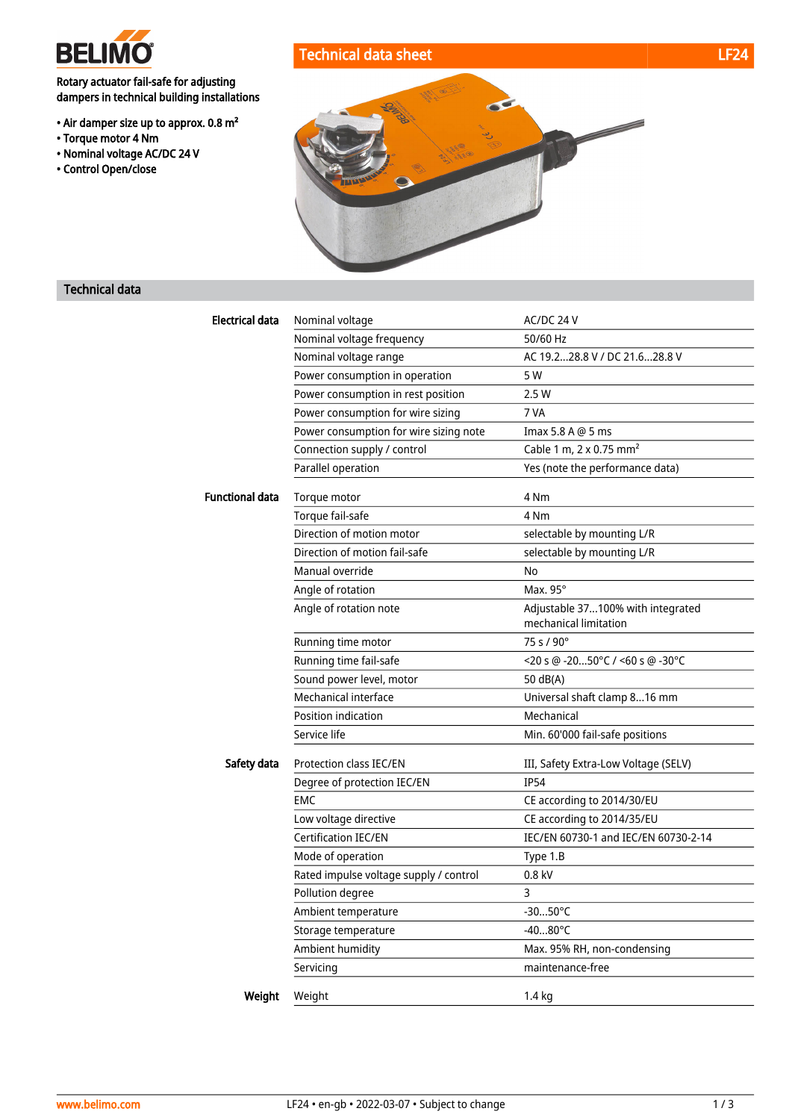

Rotary actuator fail-safe for adjusting dampers in technical building installations

- Air damper size up to approx. 0.8 m²
- Torque motor 4 Nm
- Nominal voltage AC/DC 24 V
- Control Open/close





## Technical data

| <b>Electrical data</b> | Nominal voltage                        | AC/DC 24 V                                                 |
|------------------------|----------------------------------------|------------------------------------------------------------|
|                        | Nominal voltage frequency              | 50/60 Hz                                                   |
|                        | Nominal voltage range                  | AC 19.228.8 V / DC 21.628.8 V                              |
|                        | Power consumption in operation         | 5 W                                                        |
|                        | Power consumption in rest position     | 2.5W                                                       |
|                        | Power consumption for wire sizing      | 7 VA                                                       |
|                        | Power consumption for wire sizing note | Imax 5.8 A @ 5 ms                                          |
|                        | Connection supply / control            | Cable 1 m, 2 x 0.75 mm <sup>2</sup>                        |
|                        | Parallel operation                     | Yes (note the performance data)                            |
| <b>Functional data</b> | Torque motor                           | 4 Nm                                                       |
|                        | Torque fail-safe                       | 4 Nm                                                       |
|                        | Direction of motion motor              | selectable by mounting L/R                                 |
|                        | Direction of motion fail-safe          | selectable by mounting L/R                                 |
|                        | Manual override                        | No                                                         |
|                        | Angle of rotation                      | Max. 95°                                                   |
|                        | Angle of rotation note                 | Adjustable 37100% with integrated<br>mechanical limitation |
|                        | Running time motor                     | 75 s / 90°                                                 |
|                        | Running time fail-safe                 | $<$ 20 s @ -2050°C / <60 s @ -30°C                         |
|                        | Sound power level, motor               | 50 dB(A)                                                   |
|                        | Mechanical interface                   | Universal shaft clamp 816 mm                               |
|                        | Position indication                    | Mechanical                                                 |
|                        | Service life                           | Min. 60'000 fail-safe positions                            |
| Safety data            | <b>Protection class IEC/EN</b>         | III, Safety Extra-Low Voltage (SELV)                       |
|                        | Degree of protection IEC/EN            | <b>IP54</b>                                                |
|                        | <b>EMC</b>                             | CE according to 2014/30/EU                                 |
|                        | Low voltage directive                  | CE according to 2014/35/EU                                 |
|                        | <b>Certification IEC/EN</b>            | IEC/EN 60730-1 and IEC/EN 60730-2-14                       |
|                        | Mode of operation                      | Type 1.B                                                   |
|                        | Rated impulse voltage supply / control | $0.8$ kV                                                   |
|                        | Pollution degree                       | 3                                                          |
|                        | Ambient temperature                    | $-3050^{\circ}$ C                                          |
|                        | Storage temperature                    | $-4080^{\circ}$ C                                          |
|                        | Ambient humidity                       | Max. 95% RH, non-condensing                                |
|                        | Servicing                              | maintenance-free                                           |
| Weight                 | Weight                                 | $1.4$ kg                                                   |
|                        |                                        |                                                            |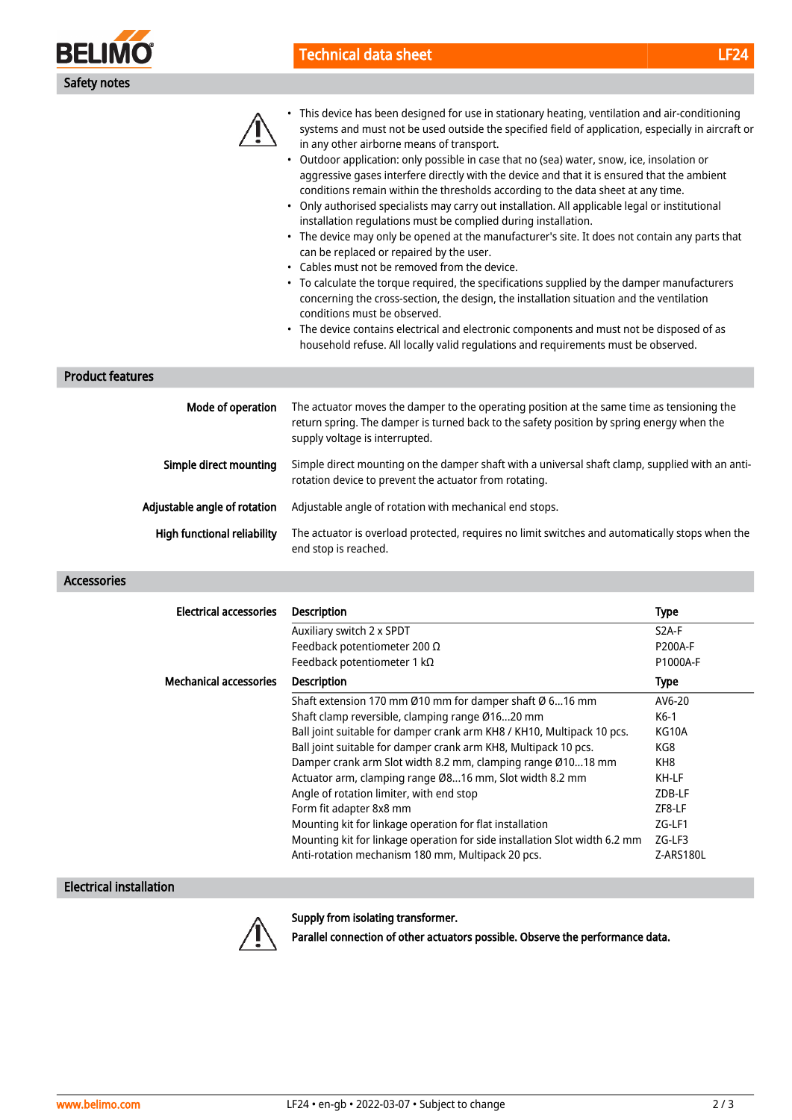



- Outdoor application: only possible in case that no (sea) water, snow, ice, insolation or aggressive gases interfere directly with the device and that it is ensured that the ambient conditions remain within the thresholds according to the data sheet at any time.
- Only authorised specialists may carry out installation. All applicable legal or institutional installation regulations must be complied during installation.
- The device may only be opened at the manufacturer's site. It does not contain any parts that can be replaced or repaired by the user.
- Cables must not be removed from the device.
- To calculate the torque required, the specifications supplied by the damper manufacturers concerning the cross-section, the design, the installation situation and the ventilation conditions must be observed.
- The device contains electrical and electronic components and must not be disposed of as household refuse. All locally valid regulations and requirements must be observed.

## Product features

| Mode of operation                  | The actuator moves the damper to the operating position at the same time as tensioning the<br>return spring. The damper is turned back to the safety position by spring energy when the<br>supply voltage is interrupted. |
|------------------------------------|---------------------------------------------------------------------------------------------------------------------------------------------------------------------------------------------------------------------------|
| Simple direct mounting             | Simple direct mounting on the damper shaft with a universal shaft clamp, supplied with an anti-<br>rotation device to prevent the actuator from rotating.                                                                 |
| Adjustable angle of rotation       | Adjustable angle of rotation with mechanical end stops.                                                                                                                                                                   |
| <b>High functional reliability</b> | The actuator is overload protected, requires no limit switches and automatically stops when the<br>end stop is reached.                                                                                                   |

### Accessories

| Electrical accessories        | <b>Description</b>                                                         | <b>Type</b>    |
|-------------------------------|----------------------------------------------------------------------------|----------------|
|                               | Auxiliary switch 2 x SPDT                                                  | $S2A-F$        |
|                               | Feedback potentiometer 200 $\Omega$                                        | <b>P200A-F</b> |
|                               | Feedback potentiometer 1 k $\Omega$                                        | P1000A-F       |
| <b>Mechanical accessories</b> | <b>Description</b>                                                         | <b>Type</b>    |
|                               | Shaft extension 170 mm Ø10 mm for damper shaft Ø 616 mm                    | AV6-20         |
|                               | Shaft clamp reversible, clamping range Ø1620 mm                            | K6-1           |
|                               | Ball joint suitable for damper crank arm KH8 / KH10, Multipack 10 pcs.     | KG10A          |
|                               | Ball joint suitable for damper crank arm KH8, Multipack 10 pcs.            | KG8            |
|                               | Damper crank arm Slot width 8.2 mm, clamping range Ø1018 mm                | KH8            |
|                               | Actuator arm, clamping range Ø816 mm, Slot width 8.2 mm                    | KH-LF          |
|                               | Angle of rotation limiter, with end stop                                   | ZDB-LF         |
|                               | Form fit adapter 8x8 mm                                                    | ZF8-LF         |
|                               | Mounting kit for linkage operation for flat installation                   | ZG-LF1         |
|                               | Mounting kit for linkage operation for side installation Slot width 6.2 mm | ZG-LF3         |
|                               | Anti-rotation mechanism 180 mm, Multipack 20 pcs.                          | Z-ARS180L      |

## Electrical installation



Supply from isolating transformer.

Parallel connection of other actuators possible. Observe the performance data.